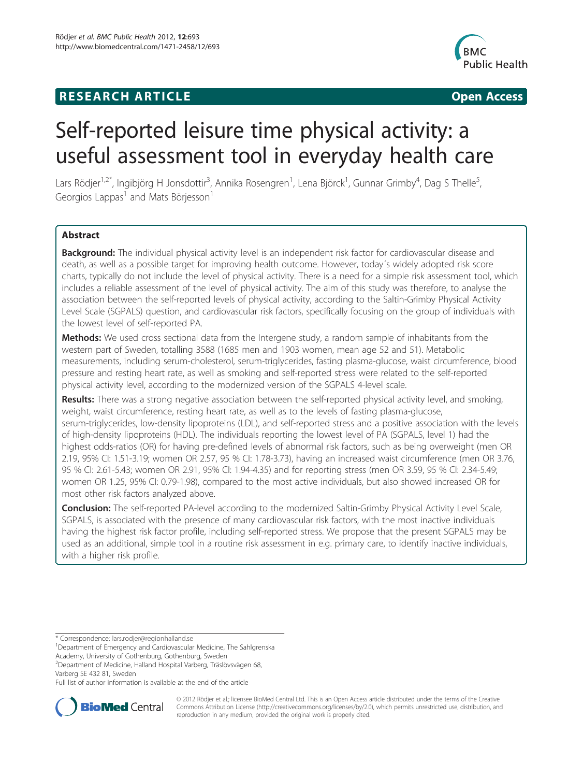# **RESEARCH ARTICLE Example 2014 12:30 The SEAR CH ACCESS**



# Self-reported leisure time physical activity: a useful assessment tool in everyday health care

Lars Rödjer<sup>1,2\*</sup>, Ingibjörg H Jonsdottir<sup>3</sup>, Annika Rosengren<sup>1</sup>, Lena Björck<sup>1</sup>, Gunnar Grimby<sup>4</sup>, Dag S Thelle<sup>5</sup> , Georgios Lappas<sup>1</sup> and Mats Börjesson<sup>1</sup>

# Abstract

Background: The individual physical activity level is an independent risk factor for cardiovascular disease and death, as well as a possible target for improving health outcome. However, today´s widely adopted risk score charts, typically do not include the level of physical activity. There is a need for a simple risk assessment tool, which includes a reliable assessment of the level of physical activity. The aim of this study was therefore, to analyse the association between the self-reported levels of physical activity, according to the Saltin-Grimby Physical Activity Level Scale (SGPALS) question, and cardiovascular risk factors, specifically focusing on the group of individuals with the lowest level of self-reported PA.

Methods: We used cross sectional data from the Intergene study, a random sample of inhabitants from the western part of Sweden, totalling 3588 (1685 men and 1903 women, mean age 52 and 51). Metabolic measurements, including serum-cholesterol, serum-triglycerides, fasting plasma-glucose, waist circumference, blood pressure and resting heart rate, as well as smoking and self-reported stress were related to the self-reported physical activity level, according to the modernized version of the SGPALS 4-level scale.

Results: There was a strong negative association between the self-reported physical activity level, and smoking, weight, waist circumference, resting heart rate, as well as to the levels of fasting plasma-glucose, serum-triglycerides, low-density lipoproteins (LDL), and self-reported stress and a positive association with the levels of high-density lipoproteins (HDL). The individuals reporting the lowest level of PA (SGPALS, level 1) had the highest odds-ratios (OR) for having pre-defined levels of abnormal risk factors, such as being overweight (men OR 2.19, 95% CI: 1.51-3.19; women OR 2.57, 95 % CI: 1.78-3.73), having an increased waist circumference (men OR 3.76, 95 % CI: 2.61-5.43; women OR 2.91, 95% CI: 1.94-4.35) and for reporting stress (men OR 3.59, 95 % CI: 2.34-5.49; women OR 1.25, 95% CI: 0.79-1.98), compared to the most active individuals, but also showed increased OR for most other risk factors analyzed above.

Conclusion: The self-reported PA-level according to the modernized Saltin-Grimby Physical Activity Level Scale, SGPALS, is associated with the presence of many cardiovascular risk factors, with the most inactive individuals having the highest risk factor profile, including self-reported stress. We propose that the present SGPALS may be used as an additional, simple tool in a routine risk assessment in e.g. primary care, to identify inactive individuals, with a higher risk profile.

<sup>1</sup>Department of Emergency and Cardiovascular Medicine, The Sahlgrenska Academy, University of Gothenburg, Gothenburg, Sweden

2 Department of Medicine, Halland Hospital Varberg, Träslövsvägen 68,

Varberg SE 432 81, Sweden

Full list of author information is available at the end of the article



© 2012 Rödjer et al.; licensee BioMed Central Ltd. This is an Open Access article distributed under the terms of the Creative Commons Attribution License [\(http://creativecommons.org/licenses/by/2.0\)](http://creativecommons.org/licenses/by/2.0), which permits unrestricted use, distribution, and reproduction in any medium, provided the original work is properly cited.

<sup>\*</sup> Correspondence: [lars.rodjer@regionhalland.se](mailto:lars.rodjer@regionhalland.se) <sup>1</sup>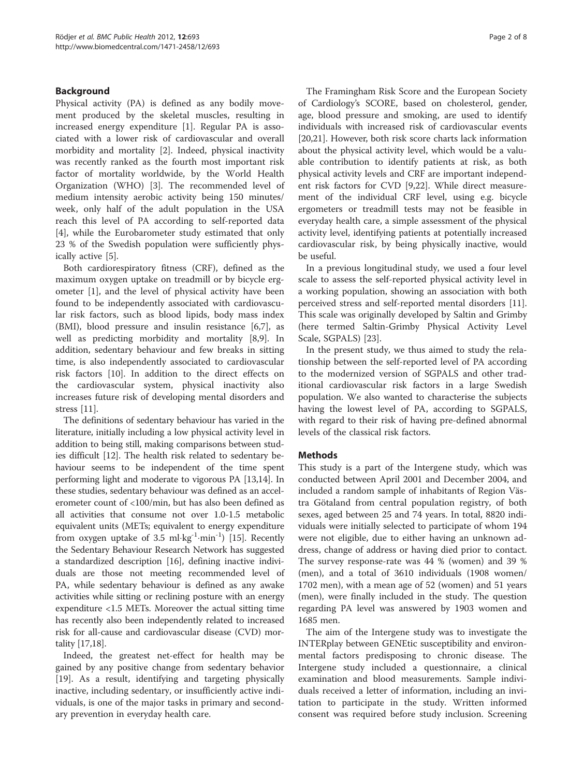# Background

Physical activity (PA) is defined as any bodily movement produced by the skeletal muscles, resulting in increased energy expenditure [\[1](#page-6-0)]. Regular PA is associated with a lower risk of cardiovascular and overall morbidity and mortality [\[2](#page-6-0)]. Indeed, physical inactivity was recently ranked as the fourth most important risk factor of mortality worldwide, by the World Health Organization (WHO) [\[3](#page-6-0)]. The recommended level of medium intensity aerobic activity being 150 minutes/ week, only half of the adult population in the USA reach this level of PA according to self-reported data [[4\]](#page-6-0), while the Eurobarometer study estimated that only 23 % of the Swedish population were sufficiently physically active [[5\]](#page-6-0).

Both cardiorespiratory fitness (CRF), defined as the maximum oxygen uptake on treadmill or by bicycle ergometer [[1\]](#page-6-0), and the level of physical activity have been found to be independently associated with cardiovascular risk factors, such as blood lipids, body mass index (BMI), blood pressure and insulin resistance [\[6](#page-6-0),[7](#page-6-0)], as well as predicting morbidity and mortality [[8,9\]](#page-6-0). In addition, sedentary behaviour and few breaks in sitting time, is also independently associated to cardiovascular risk factors [\[10\]](#page-6-0). In addition to the direct effects on the cardiovascular system, physical inactivity also increases future risk of developing mental disorders and stress [\[11](#page-6-0)].

The definitions of sedentary behaviour has varied in the literature, initially including a low physical activity level in addition to being still, making comparisons between studies difficult [\[12](#page-7-0)]. The health risk related to sedentary behaviour seems to be independent of the time spent performing light and moderate to vigorous PA [\[13,14](#page-7-0)]. In these studies, sedentary behaviour was defined as an accelerometer count of <100/min, but has also been defined as all activities that consume not over 1.0-1.5 metabolic equivalent units (METs; equivalent to energy expenditure from oxygen uptake of 3.5 ml·kg<sup>-1</sup>·min<sup>-1</sup>) [\[15\]](#page-7-0). Recently the Sedentary Behaviour Research Network has suggested a standardized description [\[16\]](#page-7-0), defining inactive individuals are those not meeting recommended level of PA, while sedentary behaviour is defined as any awake activities while sitting or reclining posture with an energy expenditure <1.5 METs. Moreover the actual sitting time has recently also been independently related to increased risk for all-cause and cardiovascular disease (CVD) mortality [\[17,18](#page-7-0)].

Indeed, the greatest net-effect for health may be gained by any positive change from sedentary behavior [[19\]](#page-7-0). As a result, identifying and targeting physically inactive, including sedentary, or insufficiently active individuals, is one of the major tasks in primary and secondary prevention in everyday health care.

The Framingham Risk Score and the European Society of Cardiology's SCORE, based on cholesterol, gender, age, blood pressure and smoking, are used to identify individuals with increased risk of cardiovascular events [[20,21\]](#page-7-0). However, both risk score charts lack information about the physical activity level, which would be a valuable contribution to identify patients at risk, as both physical activity levels and CRF are important independent risk factors for CVD [\[9](#page-6-0)[,22](#page-7-0)]. While direct measurement of the individual CRF level, using e.g. bicycle ergometers or treadmill tests may not be feasible in everyday health care, a simple assessment of the physical activity level, identifying patients at potentially increased cardiovascular risk, by being physically inactive, would be useful.

In a previous longitudinal study, we used a four level scale to assess the self-reported physical activity level in a working population, showing an association with both perceived stress and self-reported mental disorders [\[11](#page-6-0)]. This scale was originally developed by Saltin and Grimby (here termed Saltin-Grimby Physical Activity Level Scale, SGPALS) [[23\]](#page-7-0).

In the present study, we thus aimed to study the relationship between the self-reported level of PA according to the modernized version of SGPALS and other traditional cardiovascular risk factors in a large Swedish population. We also wanted to characterise the subjects having the lowest level of PA, according to SGPALS, with regard to their risk of having pre-defined abnormal levels of the classical risk factors.

# **Methods**

This study is a part of the Intergene study, which was conducted between April 2001 and December 2004, and included a random sample of inhabitants of Region Västra Götaland from central population registry, of both sexes, aged between 25 and 74 years. In total, 8820 individuals were initially selected to participate of whom 194 were not eligible, due to either having an unknown address, change of address or having died prior to contact. The survey response-rate was 44 % (women) and 39 % (men), and a total of 3610 individuals (1908 women/ 1702 men), with a mean age of 52 (women) and 51 years (men), were finally included in the study. The question regarding PA level was answered by 1903 women and 1685 men.

The aim of the Intergene study was to investigate the INTERplay between GENEtic susceptibility and environmental factors predisposing to chronic disease. The Intergene study included a questionnaire, a clinical examination and blood measurements. Sample individuals received a letter of information, including an invitation to participate in the study. Written informed consent was required before study inclusion. Screening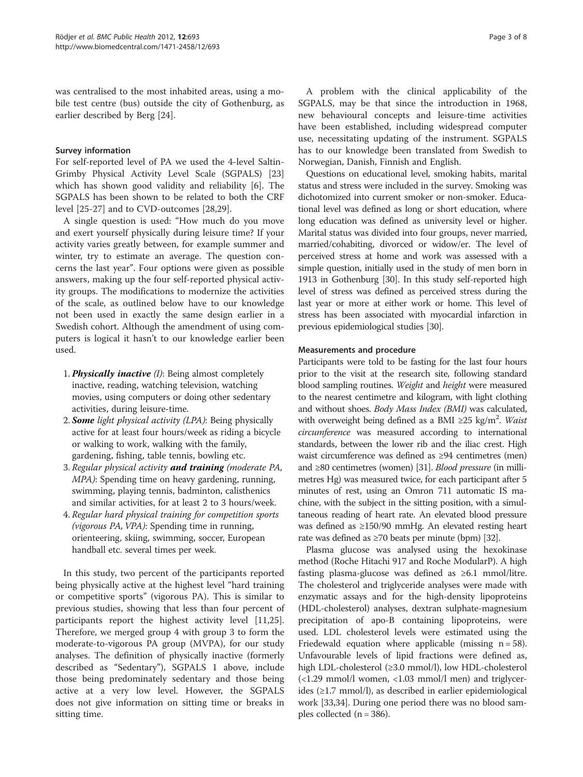was centralised to the most inhabited areas, using a mobile test centre (bus) outside the city of Gothenburg, as earlier described by Berg [\[24\]](#page-7-0).

#### Survey information

For self-reported level of PA we used the 4-level Saltin-Grimby Physical Activity Level Scale (SGPALS) [[23](#page-7-0)] which has shown good validity and reliability [\[6](#page-6-0)]. The SGPALS has been shown to be related to both the CRF level [\[25](#page-7-0)-[27\]](#page-7-0) and to CVD-outcomes [[28,29\]](#page-7-0).

A single question is used: "How much do you move and exert yourself physically during leisure time? If your activity varies greatly between, for example summer and winter, try to estimate an average. The question concerns the last year". Four options were given as possible answers, making up the four self-reported physical activity groups. The modifications to modernize the activities of the scale, as outlined below have to our knowledge not been used in exactly the same design earlier in a Swedish cohort. Although the amendment of using computers is logical it hasn't to our knowledge earlier been used.

- 1. Physically inactive  $(I)$ : Being almost completely inactive, reading, watching television, watching movies, using computers or doing other sedentary activities, during leisure-time.
- 2. **Some** light physical activity (LPA): Being physically active for at least four hours/week as riding a bicycle or walking to work, walking with the family, gardening, fishing, table tennis, bowling etc.
- 3. Regular physical activity and training (moderate PA, MPA): Spending time on heavy gardening, running, swimming, playing tennis, badminton, calisthenics and similar activities, for at least 2 to 3 hours/week.
- 4. Regular hard physical training for competition sports (vigorous PA, VPA): Spending time in running, orienteering, skiing, swimming, soccer, European handball etc. several times per week.

In this study, two percent of the participants reported being physically active at the highest level "hard training or competitive sports" (vigorous PA). This is similar to previous studies, showing that less than four percent of participants report the highest activity level [\[11](#page-6-0)[,25](#page-7-0)]. Therefore, we merged group 4 with group 3 to form the moderate-to-vigorous PA group (MVPA), for our study analyses. The definition of physically inactive (formerly described as "Sedentary"), SGPALS 1 above, include those being predominately sedentary and those being active at a very low level. However, the SGPALS does not give information on sitting time or breaks in sitting time.

A problem with the clinical applicability of the SGPALS, may be that since the introduction in 1968, new behavioural concepts and leisure-time activities have been established, including widespread computer use, necessitating updating of the instrument. SGPALS has to our knowledge been translated from Swedish to Norwegian, Danish, Finnish and English.

Questions on educational level, smoking habits, marital status and stress were included in the survey. Smoking was dichotomized into current smoker or non-smoker. Educational level was defined as long or short education, where long education was defined as university level or higher. Marital status was divided into four groups, never married, married/cohabiting, divorced or widow/er. The level of perceived stress at home and work was assessed with a simple question, initially used in the study of men born in 1913 in Gothenburg [[30](#page-7-0)]. In this study self-reported high level of stress was defined as perceived stress during the last year or more at either work or home. This level of stress has been associated with myocardial infarction in previous epidemiological studies [[30](#page-7-0)].

# Measurements and procedure

Participants were told to be fasting for the last four hours prior to the visit at the research site, following standard blood sampling routines. Weight and height were measured to the nearest centimetre and kilogram, with light clothing and without shoes. Body Mass Index (BMI) was calculated, with overweight being defined as a BMI  $\geq$ 25 kg/m<sup>2</sup>. Waist circumference was measured according to international standards, between the lower rib and the iliac crest. High waist circumference was defined as ≥94 centimetres (men) and ≥80 centimetres (women) [\[31](#page-7-0)]. Blood pressure (in millimetres Hg) was measured twice, for each participant after 5 minutes of rest, using an Omron 711 automatic IS machine, with the subject in the sitting position, with a simultaneous reading of heart rate. An elevated blood pressure was defined as ≥150/90 mmHg. An elevated resting heart rate was defined as  $\geq 70$  beats per minute (bpm) [\[32](#page-7-0)].

Plasma glucose was analysed using the hexokinase method (Roche Hitachi 917 and Roche ModularP). A high fasting plasma-glucose was defined as ≥6.1 mmol/litre. The cholesterol and triglyceride analyses were made with enzymatic assays and for the high-density lipoproteins (HDL-cholesterol) analyses, dextran sulphate-magnesium precipitation of apo-B containing lipoproteins, were used. LDL cholesterol levels were estimated using the Friedewald equation where applicable (missing  $n = 58$ ). Unfavourable levels of lipid fractions were defined as, high LDL-cholesterol (≥3.0 mmol/l), low HDL-cholesterol (<1.29 mmol/l women, <1.03 mmol/l men) and triglycerides (≥1.7 mmol/l), as described in earlier epidemiological work [\[33,34](#page-7-0)]. During one period there was no blood samples collected  $(n = 386)$ .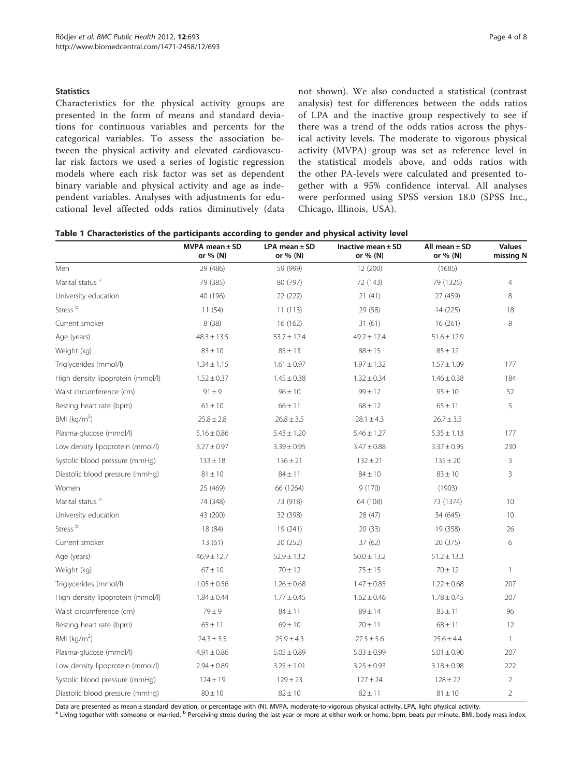#### <span id="page-3-0"></span>**Statistics**

Characteristics for the physical activity groups are presented in the form of means and standard deviations for continuous variables and percents for the categorical variables. To assess the association between the physical activity and elevated cardiovascular risk factors we used a series of logistic regression models where each risk factor was set as dependent binary variable and physical activity and age as independent variables. Analyses with adjustments for educational level affected odds ratios diminutively (data not shown). We also conducted a statistical (contrast analysis) test for differences between the odds ratios of LPA and the inactive group respectively to see if there was a trend of the odds ratios across the physical activity levels. The moderate to vigorous physical activity (MVPA) group was set as reference level in the statistical models above, and odds ratios with the other PA-levels were calculated and presented together with a 95% confidence interval. All analyses were performed using SPSS version 18.0 (SPSS Inc., Chicago, Illinois, USA).

| Table 1 Characteristics of the participants according to gender and physical activity level |  |  |  |  |
|---------------------------------------------------------------------------------------------|--|--|--|--|
|---------------------------------------------------------------------------------------------|--|--|--|--|

|                                   | MVPA mean $\pm$ SD<br>or % (N) | $LPA$ mean $\pm$ SD<br>or % (N) | Inactive mean $\pm$ SD<br>or % (N) | All mean $\pm$ SD<br>or % (N) | <b>Values</b><br>missing N |
|-----------------------------------|--------------------------------|---------------------------------|------------------------------------|-------------------------------|----------------------------|
| Men                               | 29 (486)                       | 59 (999)                        | 12 (200)                           | (1685)                        |                            |
| Marital status <sup>a</sup>       | 79 (385)                       | 80 (797)                        | 72 (143)                           | 79 (1325)                     | $\overline{4}$             |
| University education              | 40 (196)                       | 22 (222)                        | 21(41)                             | 27 (459)                      | 8                          |
| Stress <sup>b</sup>               | 11(54)                         | 11(113)                         | 29 (58)                            | 14 (225)                      | 18                         |
| Current smoker                    | 8(38)                          | 16 (162)                        | 31(61)                             | 16(261)                       | 8                          |
| Age (years)                       | $48.3 \pm 13.5$                | $53.7 \pm 12.4$                 | $49.2 \pm 12.4$                    | $51.6 \pm 12.9$               |                            |
| Weight (kg)                       | $83 \pm 10$                    | $85 \pm 13$                     | $88 \pm 15$                        | $85 \pm 12$                   |                            |
| Triglycerides (mmol/l)            | $1.34 \pm 1.15$                | $1.61 \pm 0.97$                 | $1.97 \pm 1.32$                    | $1.57 \pm 1.09$               | 177                        |
| High density lipoprotein (mmol/l) | $1.52 \pm 0.37$                | $1.45 \pm 0.38$                 | $1.32 \pm 0.34$                    | $1.46 \pm 0.38$               | 184                        |
| Waist circumference (cm)          | $91 \pm 9$                     | $96 \pm 10$                     | $99 \pm 12$                        | $95 \pm 10$                   | 52                         |
| Resting heart rate (bpm)          | $61 \pm 10$                    | $66 \pm 11$                     | $68 \pm 12$                        | $65 \pm 11$                   | 5                          |
| BMI ( $kg/m2$ )                   | $25.8 \pm 2.8$                 | $26.8 \pm 3.5$                  | $28.1 \pm 4.3$                     | $26.7 \pm 3.5$                |                            |
| Plasma-glucose (mmol/l)           | $5.16 \pm 0.86$                | $5.43 \pm 1.20$                 | $5.46 \pm 1.27$                    | $5.35 \pm 1.13$               | 177                        |
| Low density lipoprotein (mmol/l)  | $3.27 \pm 0.97$                | $3.39 \pm 0.95$                 | $3.47 \pm 0.88$                    | $3.37 \pm 0.95$               | 230                        |
| Systolic blood pressure (mmHg)    | $133 \pm 18$                   | $136 \pm 21$                    | $132 \pm 21$                       | $135 \pm 20$                  | $\overline{3}$             |
| Diastolic blood pressure (mmHg)   | $81 \pm 10$                    | $84 \pm 11$                     | $84 \pm 10$                        | $83 \pm 10$                   | $\overline{3}$             |
| Women                             | 25 (469)                       | 66 (1264)                       | 9(170)                             | (1903)                        |                            |
| Marital status <sup>a</sup>       | 74 (348)                       | 73 (918)                        | 64 (108)                           | 73 (1374)                     | 10                         |
| University education              | 43 (200)                       | 32 (398)                        | 28 (47)                            | 34 (645)                      | 10                         |
| Stress <sup>b</sup>               | 18 (84)                        | 19 (241)                        | 20(33)                             | 19 (358)                      | 26                         |
| Current smoker                    | 13(61)                         | 20 (252)                        | 37 (62)                            | 20 (375)                      | 6                          |
| Age (years)                       | $46.9 \pm 12.7$                | $52.9 \pm 13.2$                 | $50.0 \pm 13.2$                    | $51.2 \pm 13.3$               |                            |
| Weight (kg)                       | $67 \pm 10$                    | $70 \pm 12$                     | $75 \pm 15$                        | $70 \pm 12$                   | $\overline{1}$             |
| Triglycerides (mmol/l)            | $1.05 \pm 0.56$                | $1.26 \pm 0.68$                 | $1.47 \pm 0.85$                    | $1.22 \pm 0.68$               | 207                        |
| High density lipoprotein (mmol/l) | $1.84 \pm 0.44$                | $1.77 \pm 0.45$                 | $1.62 \pm 0.46$                    | $1.78 \pm 0.45$               | 207                        |
| Waist circumference (cm)          | $79 \pm 9$                     | $84 \pm 11$                     | $89 \pm 14$                        | $83 \pm 11$                   | 96                         |
| Resting heart rate (bpm)          | $65 \pm 11$                    | $69 \pm 10$                     | $70 \pm 11$                        | $68 \pm 11$                   | 12                         |
| BMI ( $kg/m2$ )                   | $24.3 \pm 3.5$                 | $25.9 \pm 4.3$                  | $27.5 \pm 5.6$                     | $25.6 \pm 4.4$                | $\mathbf{1}$               |
| Plasma-glucose (mmol/l)           | $4.91 \pm 0.86$                | $5.05 \pm 0.89$                 | $5.03 \pm 0.99$                    | $5.01 \pm 0.90$               | 207                        |
| Low density lipoprotein (mmol/l)  | $2.94 \pm 0.89$                | $3.25 \pm 1.01$                 | $3.25 \pm 0.93$                    | $3.18 \pm 0.98$               | 222                        |
| Systolic blood pressure (mmHg)    | $124 \pm 19$                   | $129 \pm 23$                    | $127 \pm 24$                       | $128 \pm 22$                  | $\overline{2}$             |
| Diastolic blood pressure (mmHg)   | $80 \pm 10$                    | $82 \pm 10$                     | $82 \pm 11$                        | $81 \pm 10$                   | $\overline{2}$             |

Data are presented as mean ± standard deviation, or percentage with (N). MVPA, moderate-to-vigorous physical activity, LPA, light physical activity.<br><sup>a</sup> Living together with someone or married. <sup>b</sup> Perceiving stress during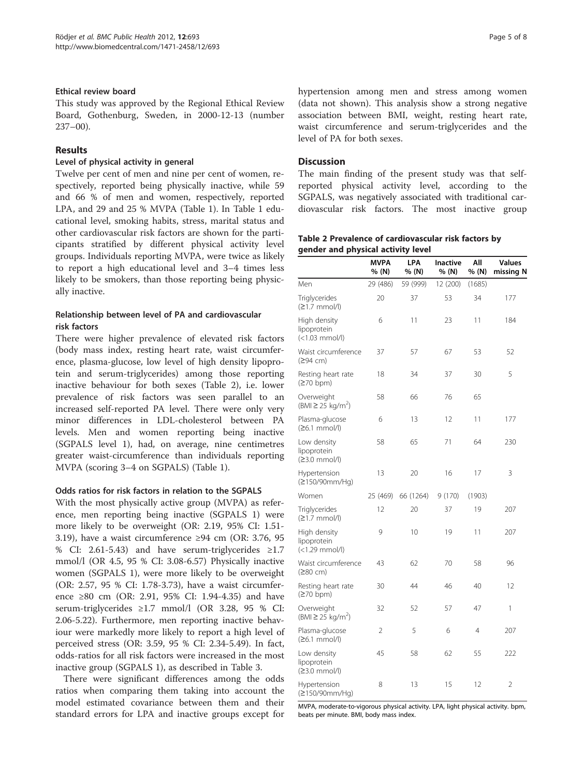#### Ethical review board

This study was approved by the Regional Ethical Review Board, Gothenburg, Sweden, in 2000-12-13 (number 237–00).

# Results

#### Level of physical activity in general

Twelve per cent of men and nine per cent of women, respectively, reported being physically inactive, while 59 and 66 % of men and women, respectively, reported LPA, and 29 and 25 % MVPA (Table [1\)](#page-3-0). In Table [1](#page-3-0) educational level, smoking habits, stress, marital status and other cardiovascular risk factors are shown for the participants stratified by different physical activity level groups. Individuals reporting MVPA, were twice as likely to report a high educational level and 3–4 times less likely to be smokers, than those reporting being physically inactive.

# Relationship between level of PA and cardiovascular risk factors

There were higher prevalence of elevated risk factors (body mass index, resting heart rate, waist circumference, plasma-glucose, low level of high density lipoprotein and serum-triglycerides) among those reporting inactive behaviour for both sexes (Table 2), i.e. lower prevalence of risk factors was seen parallel to an increased self-reported PA level. There were only very minor differences in LDL-cholesterol between PA levels. Men and women reporting being inactive (SGPALS level 1), had, on average, nine centimetres greater waist-circumference than individuals reporting MVPA (scoring 3–4 on SGPALS) (Table [1\)](#page-3-0).

#### Odds ratios for risk factors in relation to the SGPALS

With the most physically active group (MVPA) as reference, men reporting being inactive (SGPALS 1) were more likely to be overweight (OR: 2.19, 95% CI: 1.51- 3.19), have a waist circumference  $\geq$ 94 cm (OR: 3.76, 95 % CI: 2.61-5.43) and have serum-triglycerides  $\geq 1.7$ mmol/l (OR 4.5, 95 % CI: 3.08-6.57) Physically inactive women (SGPALS 1), were more likely to be overweight (OR: 2.57, 95 % CI: 1.78-3.73), have a waist circumference ≥80 cm (OR: 2.91, 95% CI: 1.94-4.35) and have serum-triglycerides ≥1.7 mmol/l (OR 3.28, 95 % CI: 2.06-5.22). Furthermore, men reporting inactive behaviour were markedly more likely to report a high level of perceived stress (OR: 3.59, 95 % CI: 2.34-5.49). In fact, odds-ratios for all risk factors were increased in the most inactive group (SGPALS 1), as described in Table [3.](#page-5-0)

There were significant differences among the odds ratios when comparing them taking into account the model estimated covariance between them and their standard errors for LPA and inactive groups except for hypertension among men and stress among women (data not shown). This analysis show a strong negative association between BMI, weight, resting heart rate, waist circumference and serum-triglycerides and the level of PA for both sexes.

# **Discussion**

The main finding of the present study was that selfreported physical activity level, according to the SGPALS, was negatively associated with traditional cardiovascular risk factors. The most inactive group

|  |                                    | Table 2 Prevalence of cardiovascular risk factors by |  |  |
|--|------------------------------------|------------------------------------------------------|--|--|
|  | gender and physical activity level |                                                      |  |  |

|                                               | <b>MVPA</b><br>% (N) | LPA<br>% (N) | Inactive<br>% (N) | Αll<br>% (N) | <b>Values</b><br>missing N |  |
|-----------------------------------------------|----------------------|--------------|-------------------|--------------|----------------------------|--|
| Men                                           | 29 (486)             | 59 (999)     | 12 (200)          | (1685)       |                            |  |
| Triglycerides<br>(≥1.7 mmol/l)                | 20                   | 37           | 53                | 34           | 177                        |  |
| High density<br>lipoprotein<br>(<1.03 mmol/l) | 6                    | 11           | 23                | 11           | 184                        |  |
| Waist circumference<br>(≥94 cm)               | 37                   | 57           | 67                | 53           | 52                         |  |
| Resting heart rate<br>(270 bpm)               | 18                   | 34           | 37                | 30           | 5                          |  |
| Overweight<br>(BMI ≥ 25 kg/m <sup>2</sup> )   | 58                   | 66           | 76                | 65           |                            |  |
| Plasma-glucose<br>(≥6.1 mmol/l)               | 6                    | 13           | 12                | 11           | 177                        |  |
| Low density<br>lipoprotein<br>(≥3.0 mmol/l)   | 58                   | 65           | 71                | 64           | 230                        |  |
| Hypertension<br>(≥150/90mm/Hq)                | 13                   | 20           | 16                | 17           | 3                          |  |
| Women                                         | 25 (469)             | 66 (1264)    | 9(170)            | (1903)       |                            |  |
| Triglycerides<br>(≥1.7 mmol/l)                | 12                   | 20           | 37                | 19           | 207                        |  |
| High density<br>lipoprotein<br>(<1.29 mmol/l) | 9                    | 10           | 19                | 11           | 207                        |  |
| Waist circumference<br>(≥80 cm)               | 43                   | 62           | 70                | 58           | 96                         |  |
| Resting heart rate<br>(270 bpm)               | 30                   | 44           | 46                | 40           | 12                         |  |
| Overweight<br>(BMI ≥ 25 kg/m <sup>2</sup> )   | 32                   | 52           | 57                | 47           | 1                          |  |
| Plasma-glucose<br>$(26.1$ mmol/l)             | $\overline{2}$       | 5            | 6                 | 4            | 207                        |  |
| Low density<br>lipoprotein<br>(≥3.0 mmol/l)   | 45                   | 58           | 62                | 55           | 222                        |  |
| Hypertension<br>(≥150/90mm/Hq)                | 8                    | 13           | 15                | 12           | $\overline{2}$             |  |

MVPA, moderate-to-vigorous physical activity. LPA, light physical activity. bpm, beats per minute. BMI, body mass index.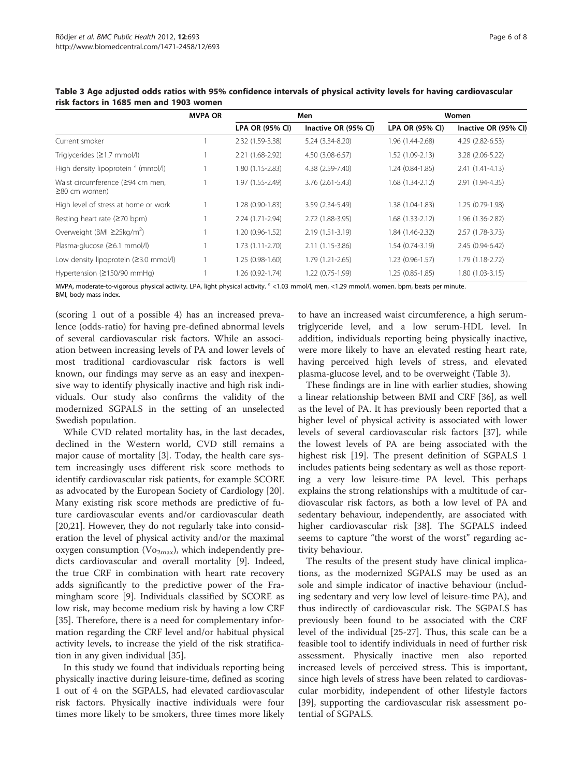|                                                         | <b>MVPA OR</b> | Men                    |                      | Women             |                      |
|---------------------------------------------------------|----------------|------------------------|----------------------|-------------------|----------------------|
|                                                         |                | <b>LPA OR (95% CI)</b> | Inactive OR (95% CI) | LPA OR (95% CI)   | Inactive OR (95% CI) |
| Current smoker                                          |                | 2.32 (1.59-3.38)       | 5.24 (3.34-8.20)     | 1.96 (1.44-2.68)  | 4.29 (2.82-6.53)     |
| Triglycerides (≥1.7 mmol/l)                             |                | 2.21 (1.68-2.92)       | 4.50 (3.08-6.57)     | 1.52 (1.09-2.13)  | 3.28 (2.06-5.22)     |
| High density lipoprotein <sup>a</sup> (mmol/l)          |                | 1.80 (1.15-2.83)       | 4.38 (2.59-7.40)     | 1.24 (0.84-1.85)  | 2.41 (1.41-4.13)     |
| Waist circumference (≥94 cm men,<br>$\geq$ 80 cm women) |                | 1.97 (1.55-2.49)       | $3.76(2.61 - 5.43)$  | 1.68 (1.34-2.12)  | 2.91 (1.94-4.35)     |
| High level of stress at home or work                    |                | 1.28 (0.90-1.83)       | 3.59 (2.34-5.49)     | 1.38 (1.04-1.83)  | 1.25 (0.79-1.98)     |
| Resting heart rate $(270$ bpm)                          |                | 2.24 (1.71-2.94)       | 2.72 (1.88-3.95)     | $1.68(1.33-2.12)$ | 1.96 (1.36-2.82)     |
| Overweight (BMI $\geq$ 25kg/m <sup>2</sup> )            |                | 1.20 (0.96-1.52)       | 2.19 (1.51-3.19)     | 1.84 (1.46-2.32)  | 2.57 (1.78-3.73)     |
| Plasma-glucose (≥6.1 mmol/l)                            |                | $1.73(1.11-2.70)$      | 2.11 (1.15-3.86)     | 1.54 (0.74-3.19)  | 2.45 (0.94-6.42)     |
| Low density lipoprotein $(23.0 \text{ mmol/l})$         |                | 1.25 (0.98-1.60)       | 1.79 (1.21-2.65)     | 1.23 (0.96-1.57)  | 1.79 (1.18-2.72)     |
| Hypertension ( $\geq$ 150/90 mmHg)                      |                | 1.26 (0.92-1.74)       | 1.22 (0.75-1.99)     | 1.25 (0.85-1.85)  | 1.80 (1.03-3.15)     |

<span id="page-5-0"></span>Table 3 Age adjusted odds ratios with 95% confidence intervals of physical activity levels for having cardiovascular risk factors in 1685 men and 1903 women

MVPA, moderate-to-vigorous physical activity. LPA, light physical activity. <sup>a</sup> <1.03 mmol/l, men, <1.29 mmol/l, women. bpm, beats per minute. BMI, body mass index.

(scoring 1 out of a possible 4) has an increased prevalence (odds-ratio) for having pre-defined abnormal levels of several cardiovascular risk factors. While an association between increasing levels of PA and lower levels of most traditional cardiovascular risk factors is well known, our findings may serve as an easy and inexpensive way to identify physically inactive and high risk individuals. Our study also confirms the validity of the modernized SGPALS in the setting of an unselected Swedish population.

While CVD related mortality has, in the last decades, declined in the Western world, CVD still remains a major cause of mortality [[3\]](#page-6-0). Today, the health care system increasingly uses different risk score methods to identify cardiovascular risk patients, for example SCORE as advocated by the European Society of Cardiology [\[20](#page-7-0)]. Many existing risk score methods are predictive of future cardiovascular events and/or cardiovascular death [[20,21\]](#page-7-0). However, they do not regularly take into consideration the level of physical activity and/or the maximal oxygen consumption ( $Vo_{2max}$ ), which independently predicts cardiovascular and overall mortality [[9\]](#page-6-0). Indeed, the true CRF in combination with heart rate recovery adds significantly to the predictive power of the Framingham score [[9\]](#page-6-0). Individuals classified by SCORE as low risk, may become medium risk by having a low CRF [[35\]](#page-7-0). Therefore, there is a need for complementary information regarding the CRF level and/or habitual physical activity levels, to increase the yield of the risk stratification in any given individual [[35\]](#page-7-0).

In this study we found that individuals reporting being physically inactive during leisure-time, defined as scoring 1 out of 4 on the SGPALS, had elevated cardiovascular risk factors. Physically inactive individuals were four times more likely to be smokers, three times more likely

to have an increased waist circumference, a high serumtriglyceride level, and a low serum-HDL level. In addition, individuals reporting being physically inactive, were more likely to have an elevated resting heart rate, having perceived high levels of stress, and elevated plasma-glucose level, and to be overweight (Table 3).

These findings are in line with earlier studies, showing a linear relationship between BMI and CRF [[36\]](#page-7-0), as well as the level of PA. It has previously been reported that a higher level of physical activity is associated with lower levels of several cardiovascular risk factors [[37\]](#page-7-0), while the lowest levels of PA are being associated with the highest risk [[19](#page-7-0)]. The present definition of SGPALS 1 includes patients being sedentary as well as those reporting a very low leisure-time PA level. This perhaps explains the strong relationships with a multitude of cardiovascular risk factors, as both a low level of PA and sedentary behaviour, independently, are associated with higher cardiovascular risk [\[38](#page-7-0)]. The SGPALS indeed seems to capture "the worst of the worst" regarding activity behaviour.

The results of the present study have clinical implications, as the modernized SGPALS may be used as an sole and simple indicator of inactive behaviour (including sedentary and very low level of leisure-time PA), and thus indirectly of cardiovascular risk. The SGPALS has previously been found to be associated with the CRF level of the individual [\[25](#page-7-0)-[27](#page-7-0)]. Thus, this scale can be a feasible tool to identify individuals in need of further risk assessment. Physically inactive men also reported increased levels of perceived stress. This is important, since high levels of stress have been related to cardiovascular morbidity, independent of other lifestyle factors [[39\]](#page-7-0), supporting the cardiovascular risk assessment potential of SGPALS.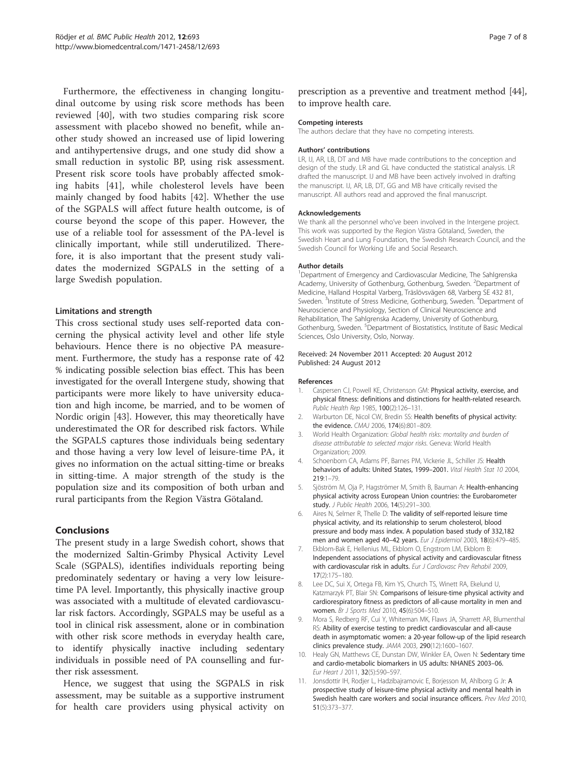<span id="page-6-0"></span>Furthermore, the effectiveness in changing longitudinal outcome by using risk score methods has been reviewed [[40\]](#page-7-0), with two studies comparing risk score assessment with placebo showed no benefit, while another study showed an increased use of lipid lowering and antihypertensive drugs, and one study did show a small reduction in systolic BP, using risk assessment. Present risk score tools have probably affected smoking habits [[41\]](#page-7-0), while cholesterol levels have been mainly changed by food habits [[42\]](#page-7-0). Whether the use of the SGPALS will affect future health outcome, is of course beyond the scope of this paper. However, the use of a reliable tool for assessment of the PA-level is clinically important, while still underutilized. Therefore, it is also important that the present study validates the modernized SGPALS in the setting of a large Swedish population.

#### Limitations and strength

This cross sectional study uses self-reported data concerning the physical activity level and other life style behaviours. Hence there is no objective PA measurement. Furthermore, the study has a response rate of 42 % indicating possible selection bias effect. This has been investigated for the overall Intergene study, showing that participants were more likely to have university education and high income, be married, and to be women of Nordic origin [\[43](#page-7-0)]. However, this may theoretically have underestimated the OR for described risk factors. While the SGPALS captures those individuals being sedentary and those having a very low level of leisure-time PA, it gives no information on the actual sitting-time or breaks in sitting-time. A major strength of the study is the population size and its composition of both urban and rural participants from the Region Västra Götaland.

#### Conclusions

The present study in a large Swedish cohort, shows that the modernized Saltin-Grimby Physical Activity Level Scale (SGPALS), identifies individuals reporting being predominately sedentary or having a very low leisuretime PA level. Importantly, this physically inactive group was associated with a multitude of elevated cardiovascular risk factors. Accordingly, SGPALS may be useful as a tool in clinical risk assessment, alone or in combination with other risk score methods in everyday health care, to identify physically inactive including sedentary individuals in possible need of PA counselling and further risk assessment.

Hence, we suggest that using the SGPALS in risk assessment, may be suitable as a supportive instrument for health care providers using physical activity on prescription as a preventive and treatment method [\[44](#page-7-0)], to improve health care.

#### Competing interests

The authors declare that they have no competing interests.

#### Authors' contributions

LR, IJ, AR, LB, DT and MB have made contributions to the conception and design of the study. LR and GL have conducted the statistical analysis. LR drafted the manuscript. IJ and MB have been actively involved in drafting the manuscript. IJ, AR, LB, DT, GG and MB have critically revised the manuscript. All authors read and approved the final manuscript.

#### Acknowledgements

We thank all the personnel who've been involved in the Intergene project. This work was supported by the Region Västra Götaland, Sweden, the Swedish Heart and Lung Foundation, the Swedish Research Council, and the Swedish Council for Working Life and Social Research.

#### Author details

<sup>1</sup>Department of Emergency and Cardiovascular Medicine, The Sahlgrenska Academy, University of Gothenburg, Gothenburg, Sweden. <sup>2</sup> Department of Medicine, Halland Hospital Varberg, Träslövsvägen 68, Varberg SE 432 81, Sweden. <sup>3</sup>Institute of Stress Medicine, Gothenburg, Sweden. <sup>4</sup>Department of Neuroscience and Physiology, Section of Clinical Neuroscience and Rehabilitation, The Sahlgrenska Academy, University of Gothenburg, Gothenburg, Sweden. <sup>5</sup>Department of Biostatistics, Institute of Basic Medical Sciences, Oslo University, Oslo, Norway.

#### Received: 24 November 2011 Accepted: 20 August 2012 Published: 24 August 2012

#### References

- 1. Caspersen CJ, Powell KE, Christenson GM: Physical activity, exercise, and physical fitness: definitions and distinctions for health-related research. Public Health Rep 1985, 100(2):126–131.
- 2. Warburton DE, Nicol CW, Bredin SS: Health benefits of physical activity: the evidence. CMAJ 2006, 174(6):801–809.
- 3. World Health Organization: Global health risks: mortality and burden of disease attributable to selected major risks. Geneva: World Health Organization; 2009.
- 4. Schoenborn CA, Adams PF, Barnes PM, Vickerie JL, Schiller JS: Health behaviors of adults: United States, 1999–2001. Vital Health Stat 10 2004, 219:1–79.
- 5. Sjöström M, Oja P, Hagströmer M, Smith B, Bauman A: Health-enhancing physical activity across European Union countries: the Eurobarometer study. J Public Health 2006, 14(5):291–300.
- 6. Aires N, Selmer R, Thelle D: The validity of self-reported leisure time physical activity, and its relationship to serum cholesterol, blood pressure and body mass index. A population based study of 332,182 men and women aged 40–42 years. Eur J Epidemiol 2003, 18(6):479–485.
- 7. Ekblom-Bak E, Hellenius ML, Ekblom O, Engstrom LM, Ekblom B: Independent associations of physical activity and cardiovascular fitness with cardiovascular risk in adults. Eur J Cardiovasc Prev Rehabil 2009, 17(2):175–180.
- 8. Lee DC, Sui X, Ortega FB, Kim YS, Church TS, Winett RA, Ekelund U, Katzmarzyk PT, Blair SN: Comparisons of leisure-time physical activity and cardiorespiratory fitness as predictors of all-cause mortality in men and women. Br J Sports Med 2010, 45(6):504–510.
- 9. Mora S, Redberg RF, Cui Y, Whiteman MK, Flaws JA, Sharrett AR, Blumenthal RS: Ability of exercise testing to predict cardiovascular and all-cause death in asymptomatic women: a 20-year follow-up of the lipid research clinics prevalence study. JAMA 2003, 290(12):1600–1607.
- 10. Healy GN, Matthews CE, Dunstan DW, Winkler EA, Owen N: Sedentary time and cardio-metabolic biomarkers in US adults: NHANES 2003–06. Eur Heart J 2011, 32(5):590–597.
- 11. Jonsdottir IH, Rodjer L, Hadzibajramovic E, Borjesson M, Ahlborg G Jr: A prospective study of leisure-time physical activity and mental health in Swedish health care workers and social insurance officers. Prev Med 2010, 51(5):373–377.